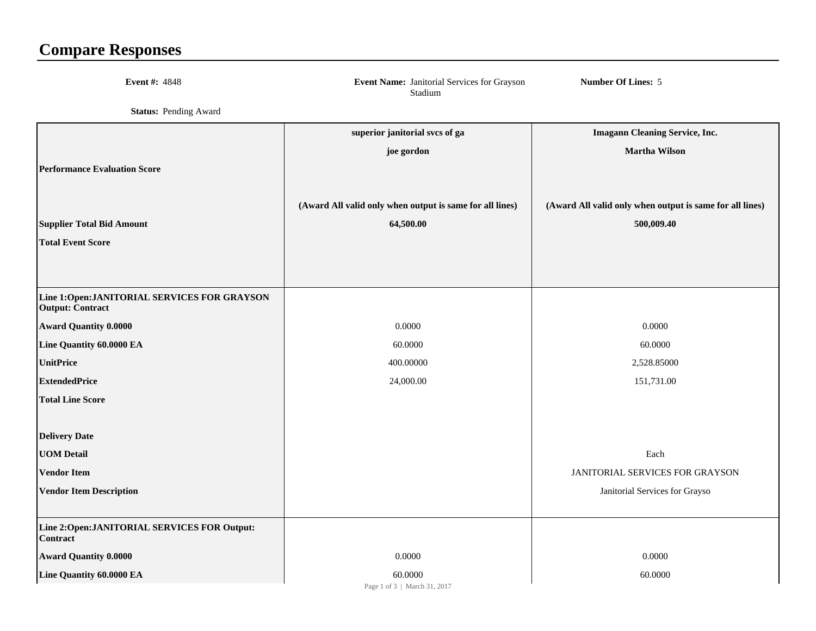## **Compare Responses**

| <b>Event #: 4848</b>                                                    | Event Name: Janitorial Services for Grayson<br>Stadium   | <b>Number Of Lines: 5</b>                                |
|-------------------------------------------------------------------------|----------------------------------------------------------|----------------------------------------------------------|
| <b>Status: Pending Award</b>                                            |                                                          |                                                          |
|                                                                         | superior janitorial svcs of ga                           | <b>Imagann Cleaning Service, Inc.</b>                    |
|                                                                         | joe gordon                                               | <b>Martha Wilson</b>                                     |
| <b>Performance Evaluation Score</b>                                     |                                                          |                                                          |
|                                                                         |                                                          |                                                          |
|                                                                         | (Award All valid only when output is same for all lines) | (Award All valid only when output is same for all lines) |
| <b>Supplier Total Bid Amount</b>                                        | 64,500.00                                                | 500,009.40                                               |
| <b>Total Event Score</b>                                                |                                                          |                                                          |
|                                                                         |                                                          |                                                          |
|                                                                         |                                                          |                                                          |
| Line 1:Open: JANITORIAL SERVICES FOR GRAYSON<br><b>Output: Contract</b> |                                                          |                                                          |
| <b>Award Quantity 0.0000</b>                                            | 0.0000                                                   | 0.0000                                                   |
| Line Quantity 60.0000 EA                                                | 60.0000                                                  | 60.0000                                                  |
| <b>UnitPrice</b>                                                        | 400.00000                                                | 2,528.85000                                              |
| <b>ExtendedPrice</b>                                                    | 24,000.00                                                | 151,731.00                                               |
| <b>Total Line Score</b>                                                 |                                                          |                                                          |
|                                                                         |                                                          |                                                          |
| <b>Delivery Date</b>                                                    |                                                          |                                                          |
| <b>UOM Detail</b>                                                       |                                                          | Each                                                     |
| <b>Vendor Item</b>                                                      |                                                          | <b>JANITORIAL SERVICES FOR GRAYSON</b>                   |
| <b>Vendor Item Description</b>                                          |                                                          | Janitorial Services for Grayso                           |
|                                                                         |                                                          |                                                          |
| Line 2: Open: JANITORIAL SERVICES FOR Output:<br>Contract               |                                                          |                                                          |
| <b>Award Quantity 0.0000</b>                                            | 0.0000                                                   | 0.0000                                                   |
| Line Quantity 60.0000 EA                                                | 60.0000<br>Page 1 of 3   March 31, 2017                  | 60.0000                                                  |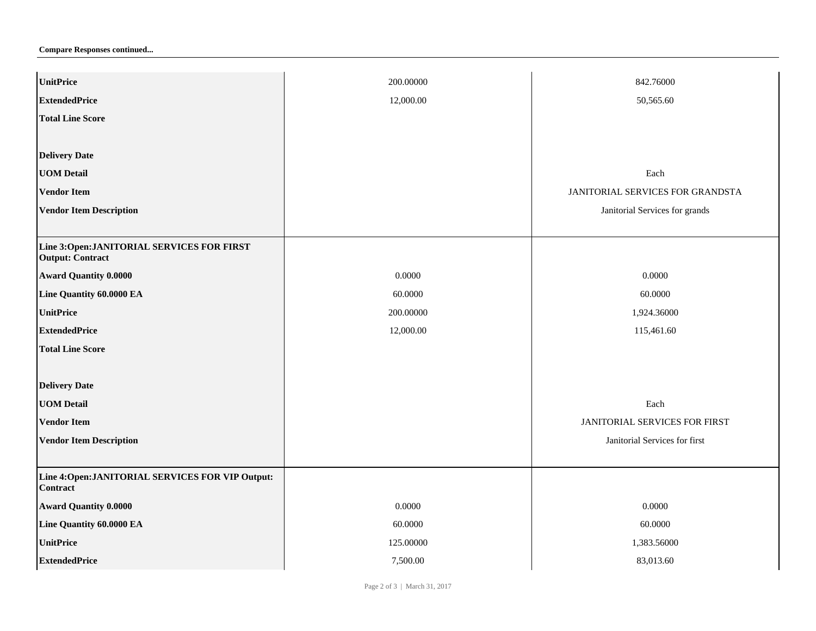**Compare Responses continued...**

| <b>UnitPrice</b>                                                      | 200.00000 | 842.76000                        |
|-----------------------------------------------------------------------|-----------|----------------------------------|
| <b>ExtendedPrice</b>                                                  | 12,000.00 | 50,565.60                        |
| <b>Total Line Score</b>                                               |           |                                  |
|                                                                       |           |                                  |
| <b>Delivery Date</b>                                                  |           |                                  |
| <b>UOM Detail</b>                                                     |           | Each                             |
| <b>Vendor Item</b>                                                    |           | JANITORIAL SERVICES FOR GRANDSTA |
| <b>Vendor Item Description</b>                                        |           | Janitorial Services for grands   |
|                                                                       |           |                                  |
| Line 3:Open: JANITORIAL SERVICES FOR FIRST<br><b>Output: Contract</b> |           |                                  |
| <b>Award Quantity 0.0000</b>                                          | 0.0000    | 0.0000                           |
| Line Quantity 60.0000 EA                                              | 60.0000   | 60.0000                          |
| <b>UnitPrice</b>                                                      | 200.00000 | 1,924.36000                      |
| <b>ExtendedPrice</b>                                                  | 12,000.00 | 115,461.60                       |
| <b>Total Line Score</b>                                               |           |                                  |
|                                                                       |           |                                  |
| <b>Delivery Date</b>                                                  |           |                                  |
| <b>UOM Detail</b>                                                     |           | Each                             |
| <b>Vendor Item</b>                                                    |           | JANITORIAL SERVICES FOR FIRST    |
| <b>Vendor Item Description</b>                                        |           | Janitorial Services for first    |
|                                                                       |           |                                  |
| Line 4: Open: JANITORIAL SERVICES FOR VIP Output:<br><b>Contract</b>  |           |                                  |
| <b>Award Quantity 0.0000</b>                                          | 0.0000    | 0.0000                           |
| Line Quantity 60.0000 EA                                              | 60.0000   | 60.0000                          |
| <b>UnitPrice</b>                                                      | 125.00000 | 1,383.56000                      |
| <b>ExtendedPrice</b>                                                  | 7,500.00  | 83,013.60                        |